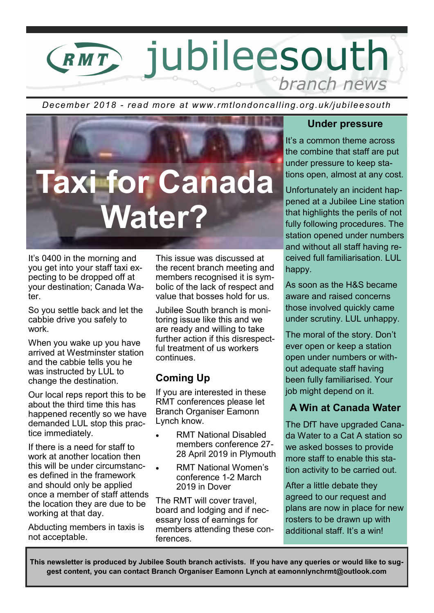## jubileesouth RMT branch news

*December 2018 - read more at www.rmtlondoncalling.org.uk/jubileesouth*



It's 0400 in the morning and you get into your staff taxi expecting to be dropped off at your destination; Canada Water.

So you settle back and let the cabbie drive you safely to work.

When you wake up you have arrived at Westminster station and the cabbie tells you he was instructed by LUL to change the destination.

Our local reps report this to be about the third time this has happened recently so we have demanded LUL stop this practice immediately.

If there is a need for staff to work at another location then this will be under circumstances defined in the framework and should only be applied once a member of staff attends the location they are due to be working at that day.

Abducting members in taxis is not acceptable.

This issue was discussed at the recent branch meeting and members recognised it is symbolic of the lack of respect and value that bosses hold for us.

Jubilee South branch is monitoring issue like this and we are ready and willing to take further action if this disrespectful treatment of us workers continues.

#### **Coming Up**

If you are interested in these RMT conferences please let Branch Organiser Eamonn Lynch know.

- RMT National Disabled members conference 27- 28 April 2019 in Plymouth
- RMT National Women's conference 1-2 March 2019 in Dover

The RMT will cover travel, board and lodging and if necessary loss of earnings for members attending these conferences.

#### **Under pressure**

It's a common theme across the combine that staff are put under pressure to keep stations open, almost at any cost.

Unfortunately an incident happened at a Jubilee Line station that highlights the perils of not fully following procedures. The station opened under numbers and without all staff having received full familiarisation. LUL happy.

As soon as the H&S became aware and raised concerns those involved quickly came under scrutiny. LUL unhappy.

The moral of the story. Don't ever open or keep a station open under numbers or without adequate staff having been fully familiarised. Your job might depend on it.

#### **A Win at Canada Water**

The DfT have upgraded Canada Water to a Cat A station so we asked bosses to provide more staff to enable this station activity to be carried out.

After a little debate they agreed to our request and plans are now in place for new rosters to be drawn up with additional staff. It's a win!

**This newsletter is produced by Jubilee South branch activists. If you have any queries or would like to suggest content, you can contact Branch Organiser Eamonn Lynch at eamonnlynchrmt@outlook.com**